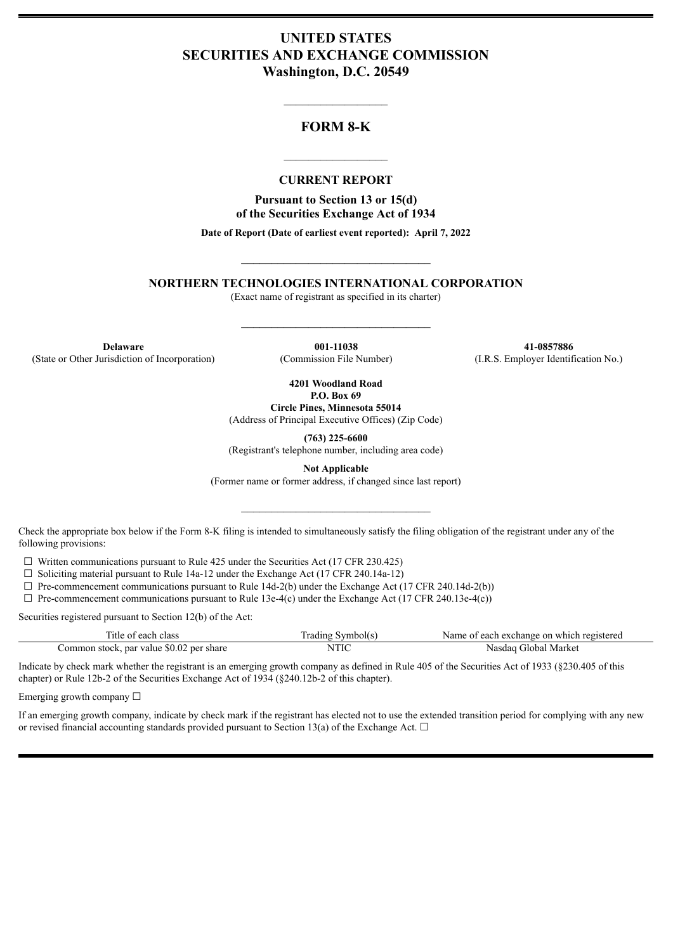# **UNITED STATES SECURITIES AND EXCHANGE COMMISSION Washington, D.C. 20549**

# **FORM 8-K**

 $\mathcal{L}_\text{max}$  and  $\mathcal{L}_\text{max}$  and  $\mathcal{L}_\text{max}$ 

#### **CURRENT REPORT**

 $\frac{1}{2}$  ,  $\frac{1}{2}$  ,  $\frac{1}{2}$  ,  $\frac{1}{2}$  ,  $\frac{1}{2}$  ,  $\frac{1}{2}$  ,  $\frac{1}{2}$ 

**Pursuant to Section 13 or 15(d) of the Securities Exchange Act of 1934**

**Date of Report (Date of earliest event reported): April 7, 2022**

**NORTHERN TECHNOLOGIES INTERNATIONAL CORPORATION**

 $\_$ 

(Exact name of registrant as specified in its charter)

 $\mathcal{L}_\text{max}$  and  $\mathcal{L}_\text{max}$  and  $\mathcal{L}_\text{max}$ 

**Delaware 001-11038 41-0857886** (State or Other Jurisdiction of Incorporation) (Commission File Number) (I.R.S. Employer Identification No.)

**4201 Woodland Road P.O. Box 69**

**Circle Pines, Minnesota 55014** (Address of Principal Executive Offices) (Zip Code)

**(763) 225-6600** (Registrant's telephone number, including area code)

**Not Applicable**

(Former name or former address, if changed since last report)

 $\_$ 

Check the appropriate box below if the Form 8-K filing is intended to simultaneously satisfy the filing obligation of the registrant under any of the following provisions:

 $\Box$  Written communications pursuant to Rule 425 under the Securities Act (17 CFR 230.425)

 $\Box$  Soliciting material pursuant to Rule 14a-12 under the Exchange Act (17 CFR 240.14a-12)

 $\Box$  Pre-commencement communications pursuant to Rule 14d-2(b) under the Exchange Act (17 CFR 240.14d-2(b))

 $\Box$  Pre-commencement communications pursuant to Rule 13e-4(c) under the Exchange Act (17 CFR 240.13e-4(c))

Securities registered pursuant to Section 12(b) of the Act:

| Title of each class                      | Trading Symbol(s) | Name of each exchange on which registered |
|------------------------------------------|-------------------|-------------------------------------------|
| Common stock, par value \$0.02 per share | NTIC              | Nasdaq Global Market                      |

Indicate by check mark whether the registrant is an emerging growth company as defined in Rule 405 of the Securities Act of 1933 (§230.405 of this chapter) or Rule 12b-2 of the Securities Exchange Act of 1934 (§240.12b-2 of this chapter).

Emerging growth company  $\Box$ 

If an emerging growth company, indicate by check mark if the registrant has elected not to use the extended transition period for complying with any new or revised financial accounting standards provided pursuant to Section 13(a) of the Exchange Act.  $\Box$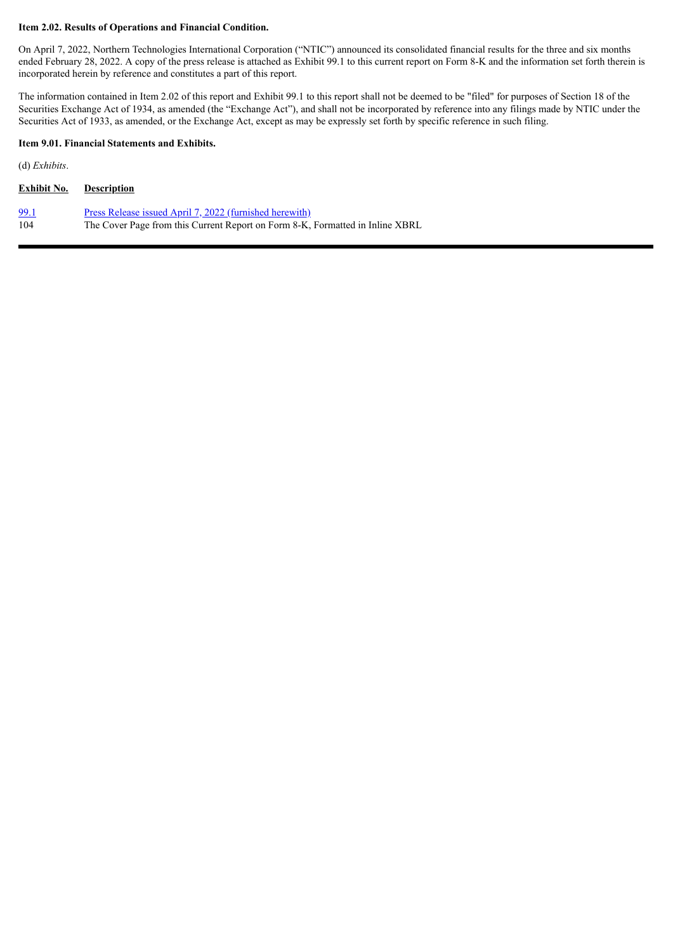#### **Item 2.02. Results of Operations and Financial Condition.**

On April 7, 2022, Northern Technologies International Corporation ("NTIC") announced its consolidated financial results for the three and six months ended February 28, 2022. A copy of the press release is attached as Exhibit 99.1 to this current report on Form 8-K and the information set forth therein is incorporated herein by reference and constitutes a part of this report.

The information contained in Item 2.02 of this report and Exhibit 99.1 to this report shall not be deemed to be "filed" for purposes of Section 18 of the Securities Exchange Act of 1934, as amended (the "Exchange Act"), and shall not be incorporated by reference into any filings made by NTIC under the Securities Act of 1933, as amended, or the Exchange Act, except as may be expressly set forth by specific reference in such filing.

#### **Item 9.01. Financial Statements and Exhibits.**

(d) *Exhibits*.

| <b>Description</b>                                                                                                                       |
|------------------------------------------------------------------------------------------------------------------------------------------|
| Press Release issued April 7, 2022 (furnished herewith)<br>The Cover Page from this Current Report on Form 8-K, Formatted in Inline XBRL |
|                                                                                                                                          |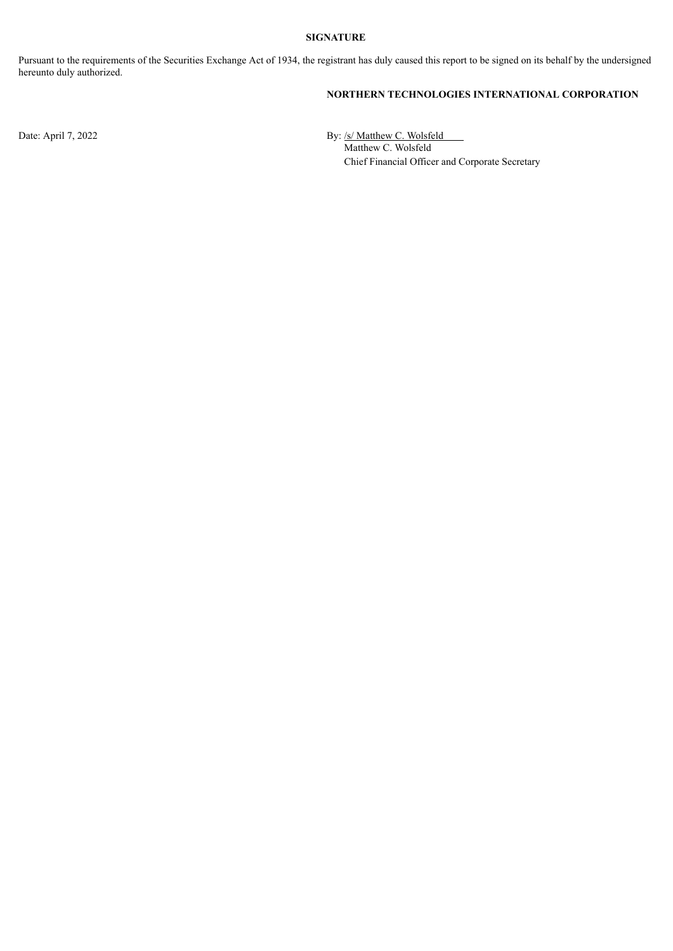#### **SIGNATURE**

Pursuant to the requirements of the Securities Exchange Act of 1934, the registrant has duly caused this report to be signed on its behalf by the undersigned hereunto duly authorized.

### **NORTHERN TECHNOLOGIES INTERNATIONAL CORPORATION**

Date: April 7, 2022 By: /s/ Matthew C. Wolsfeld Matthew C. Wolsfeld Chief Financial Officer and Corporate Secretary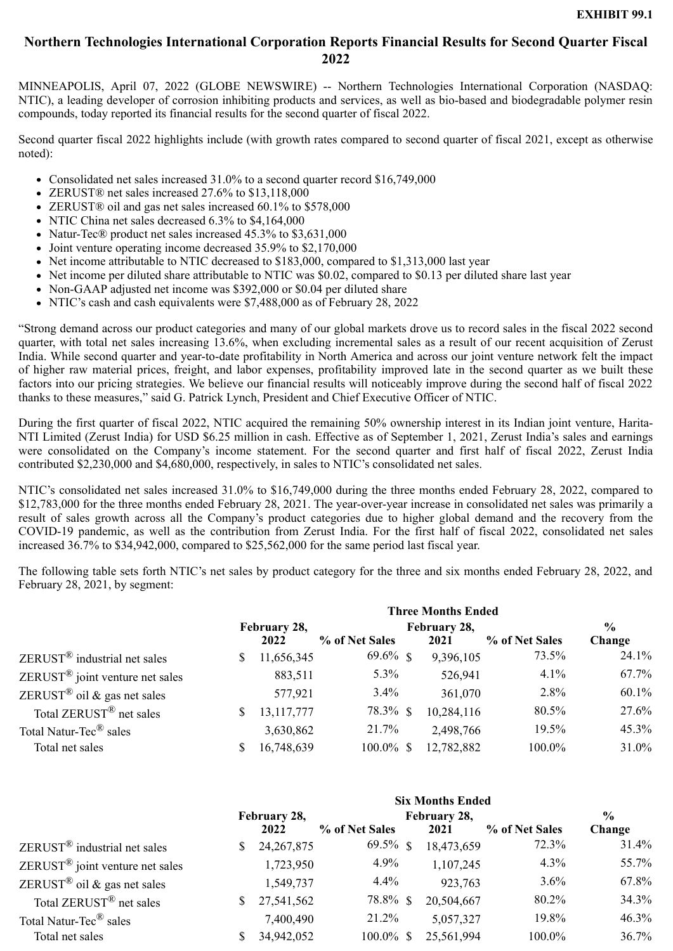# <span id="page-3-0"></span>**Northern Technologies International Corporation Reports Financial Results for Second Quarter Fiscal 2022**

MINNEAPOLIS, April 07, 2022 (GLOBE NEWSWIRE) -- Northern Technologies International Corporation (NASDAQ: NTIC), a leading developer of corrosion inhibiting products and services, as well as bio-based and biodegradable polymer resin compounds, today reported its financial results for the second quarter of fiscal 2022.

Second quarter fiscal 2022 highlights include (with growth rates compared to second quarter of fiscal 2021, except as otherwise noted):

- Consolidated net sales increased 31.0% to a second quarter record \$16,749,000
- ZERUST® net sales increased 27.6% to \$13,118,000
- ZERUST<sup>®</sup> oil and gas net sales increased 60.1% to \$578,000
- NTIC China net sales decreased 6.3% to \$4,164,000
- Natur-Tec® product net sales increased 45.3% to \$3,631,000
- Joint venture operating income decreased 35.9% to \$2,170,000
- Net income attributable to NTIC decreased to \$183,000, compared to \$1,313,000 last year
- Net income per diluted share attributable to NTIC was \$0.02, compared to \$0.13 per diluted share last year
- Non-GAAP adjusted net income was \$392,000 or \$0.04 per diluted share
- NTIC's cash and cash equivalents were \$7,488,000 as of February 28, 2022

"Strong demand across our product categories and many of our global markets drove us to record sales in the fiscal 2022 second quarter, with total net sales increasing 13.6%, when excluding incremental sales as a result of our recent acquisition of Zerust India. While second quarter and year-to-date profitability in North America and across our joint venture network felt the impact of higher raw material prices, freight, and labor expenses, profitability improved late in the second quarter as we built these factors into our pricing strategies. We believe our financial results will noticeably improve during the second half of fiscal 2022 thanks to these measures," said G. Patrick Lynch, President and Chief Executive Officer of NTIC.

During the first quarter of fiscal 2022, NTIC acquired the remaining 50% ownership interest in its Indian joint venture, Harita-NTI Limited (Zerust India) for USD \$6.25 million in cash. Effective as of September 1, 2021, Zerust India's sales and earnings were consolidated on the Company's income statement. For the second quarter and first half of fiscal 2022, Zerust India contributed \$2,230,000 and \$4,680,000, respectively, in sales to NTIC's consolidated net sales.

NTIC's consolidated net sales increased 31.0% to \$16,749,000 during the three months ended February 28, 2022, compared to \$12,783,000 for the three months ended February 28, 2021. The year-over-year increase in consolidated net sales was primarily a result of sales growth across all the Company's product categories due to higher global demand and the recovery from the COVID-19 pandemic, as well as the contribution from Zerust India. For the first half of fiscal 2022, consolidated net sales increased 36.7% to \$34,942,000, compared to \$25,562,000 for the same period last fiscal year.

The following table sets forth NTIC's net sales by product category for the three and six months ended February 28, 2022, and February 28, 2021, by segment:

|                                              |    | <b>Three Months Ended</b> |                |  |              |                |               |  |  |  |  |  |  |
|----------------------------------------------|----|---------------------------|----------------|--|--------------|----------------|---------------|--|--|--|--|--|--|
|                                              |    | February 28,              |                |  | February 28, |                | $\frac{6}{9}$ |  |  |  |  |  |  |
|                                              |    | 2022                      | % of Net Sales |  | 2021         | % of Net Sales | Change        |  |  |  |  |  |  |
| $ZERUST^{\circledR}$ industrial net sales    | S  | 11,656,345                | $69.6\%$ \$    |  | 9,396,105    | 73.5%          | 24.1%         |  |  |  |  |  |  |
| $ZERUST^{\circledR}$ joint venture net sales |    | 883,511                   | $5.3\%$        |  | 526,941      | $4.1\%$        | 67.7%         |  |  |  |  |  |  |
| ZERUST <sup>®</sup> oil & gas net sales      |    | 577,921                   | $3.4\%$        |  | 361,070      | 2.8%           | 60.1%         |  |  |  |  |  |  |
| Total $ZERUST^{\textcircled{R}}$ net sales   | S. | 13, 117, 777              | 78.3% \$       |  | 10,284,116   | 80.5%          | 27.6%         |  |  |  |  |  |  |
| Total Natur-Tec <sup>®</sup> sales           |    | 3,630,862                 | 21.7%          |  | 2,498,766    | 19.5%          | 45.3%         |  |  |  |  |  |  |
| Total net sales                              |    | 16,748,639                | $100.0\%$ \$   |  | 12,782,882   | 100.0%         | 31.0%         |  |  |  |  |  |  |

|                                              | <b>Six Months Ended</b> |              |                |  |              |                |               |  |  |  |  |  |
|----------------------------------------------|-------------------------|--------------|----------------|--|--------------|----------------|---------------|--|--|--|--|--|
|                                              |                         | February 28, |                |  | February 28, |                | $\frac{6}{9}$ |  |  |  |  |  |
|                                              |                         | 2022         | % of Net Sales |  | 2021         | % of Net Sales | Change        |  |  |  |  |  |
| $ZERUST^{\circledR}$ industrial net sales    | S                       | 24, 267, 875 | $69.5\%$ \$    |  | 18,473,659   | 72.3%          | 31.4%         |  |  |  |  |  |
| $ZERUST^{\circledR}$ joint venture net sales |                         | 1,723,950    | 4.9%           |  | 1,107,245    | $4.3\%$        | 55.7%         |  |  |  |  |  |
| ZERUST <sup>®</sup> oil & gas net sales      |                         | 1,549,737    | $4.4\%$        |  | 923,763      | $3.6\%$        | 67.8%         |  |  |  |  |  |
| Total $ZERUST^{\textcircled{R}}$ net sales   | $\mathbb{S}$            | 27,541,562   | 78.8% \$       |  | 20,504,667   | 80.2%          | 34.3%         |  |  |  |  |  |
| Total Natur-Tec <sup>®</sup> sales           |                         | 7,400,490    | 21.2%          |  | 5,057,327    | 19.8%          | 46.3%         |  |  |  |  |  |
| Total net sales                              | S                       | 34,942,052   | $100.0\%$ \$   |  | 25,561,994   | 100.0%         | 36.7%         |  |  |  |  |  |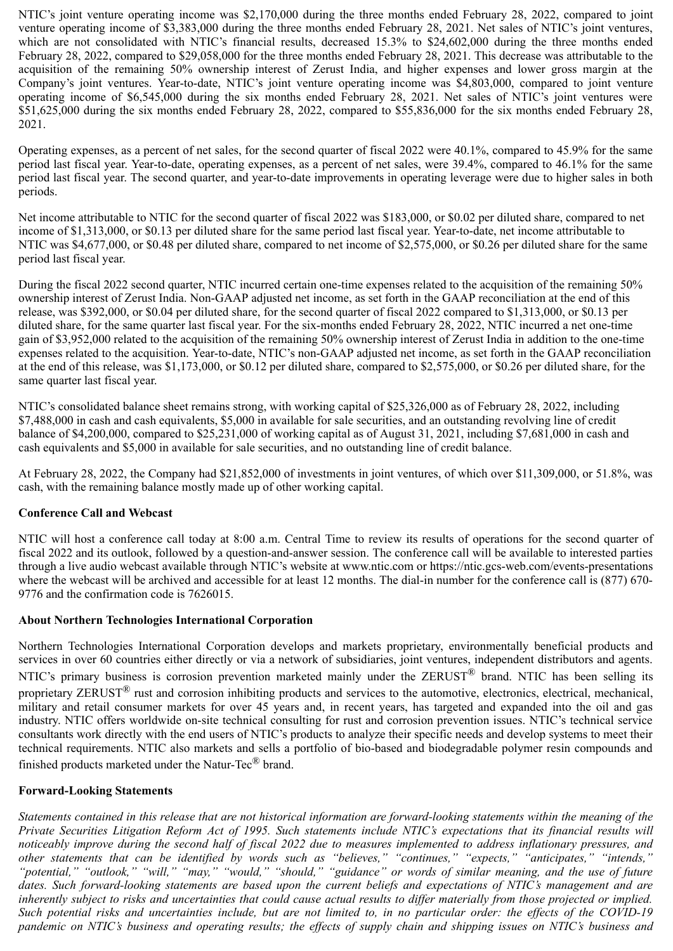NTIC's joint venture operating income was \$2,170,000 during the three months ended February 28, 2022, compared to joint venture operating income of \$3,383,000 during the three months ended February 28, 2021. Net sales of NTIC's joint ventures, which are not consolidated with NTIC's financial results, decreased 15.3% to \$24,602,000 during the three months ended February 28, 2022, compared to \$29,058,000 for the three months ended February 28, 2021. This decrease was attributable to the acquisition of the remaining 50% ownership interest of Zerust India, and higher expenses and lower gross margin at the Company's joint ventures. Year-to-date, NTIC's joint venture operating income was \$4,803,000, compared to joint venture operating income of \$6,545,000 during the six months ended February 28, 2021. Net sales of NTIC's joint ventures were \$51,625,000 during the six months ended February 28, 2022, compared to \$55,836,000 for the six months ended February 28, 2021.

Operating expenses, as a percent of net sales, for the second quarter of fiscal 2022 were 40.1%, compared to 45.9% for the same period last fiscal year. Year-to-date, operating expenses, as a percent of net sales, were 39.4%, compared to 46.1% for the same period last fiscal year. The second quarter, and year-to-date improvements in operating leverage were due to higher sales in both periods.

Net income attributable to NTIC for the second quarter of fiscal 2022 was \$183,000, or \$0.02 per diluted share, compared to net income of \$1,313,000, or \$0.13 per diluted share for the same period last fiscal year. Year-to-date, net income attributable to NTIC was \$4,677,000, or \$0.48 per diluted share, compared to net income of \$2,575,000, or \$0.26 per diluted share for the same period last fiscal year.

During the fiscal 2022 second quarter, NTIC incurred certain one-time expenses related to the acquisition of the remaining 50% ownership interest of Zerust India. Non-GAAP adjusted net income, as set forth in the GAAP reconciliation at the end of this release, was \$392,000, or \$0.04 per diluted share, for the second quarter of fiscal 2022 compared to \$1,313,000, or \$0.13 per diluted share, for the same quarter last fiscal year. For the six-months ended February 28, 2022, NTIC incurred a net one-time gain of \$3,952,000 related to the acquisition of the remaining 50% ownership interest of Zerust India in addition to the one-time expenses related to the acquisition. Year-to-date, NTIC's non-GAAP adjusted net income, as set forth in the GAAP reconciliation at the end of this release, was \$1,173,000, or \$0.12 per diluted share, compared to \$2,575,000, or \$0.26 per diluted share, for the same quarter last fiscal year.

NTIC's consolidated balance sheet remains strong, with working capital of \$25,326,000 as of February 28, 2022, including \$7,488,000 in cash and cash equivalents, \$5,000 in available for sale securities, and an outstanding revolving line of credit balance of \$4,200,000, compared to \$25,231,000 of working capital as of August 31, 2021, including \$7,681,000 in cash and cash equivalents and \$5,000 in available for sale securities, and no outstanding line of credit balance.

At February 28, 2022, the Company had \$21,852,000 of investments in joint ventures, of which over \$11,309,000, or 51.8%, was cash, with the remaining balance mostly made up of other working capital.

# **Conference Call and Webcast**

NTIC will host a conference call today at 8:00 a.m. Central Time to review its results of operations for the second quarter of fiscal 2022 and its outlook, followed by a question-and-answer session. The conference call will be available to interested parties through a live audio webcast available through NTIC's website at www.ntic.com or https://ntic.gcs-web.com/events-presentations where the webcast will be archived and accessible for at least 12 months. The dial-in number for the conference call is (877) 670-9776 and the confirmation code is 7626015.

### **About Northern Technologies International Corporation**

Northern Technologies International Corporation develops and markets proprietary, environmentally beneficial products and services in over 60 countries either directly or via a network of subsidiaries, joint ventures, independent distributors and agents. NTIC's primary business is corrosion prevention marketed mainly under the ZERUST<sup>®</sup> brand. NTIC has been selling its proprietary ZERUST<sup>®</sup> rust and corrosion inhibiting products and services to the automotive, electronics, electrical, mechanical, military and retail consumer markets for over 45 years and, in recent years, has targeted and expanded into the oil and gas industry. NTIC offers worldwide on-site technical consulting for rust and corrosion prevention issues. NTIC's technical service consultants work directly with the end users of NTIC's products to analyze their specific needs and develop systems to meet their technical requirements. NTIC also markets and sells a portfolio of bio-based and biodegradable polymer resin compounds and finished products marketed under the Natur-Tec® brand.

### **Forward-Looking Statements**

*Statements contained in this release that are not historical information are forward-looking statements within the meaning of the Private Securities Litigation Reform Act of 1995. Such statements include NTIC's expectations that its financial results will noticeably improve during the second half of fiscal 2022 due to measures implemented to address inflationary pressures, and other statements that can be identified by words such as "believes," "continues," "expects," "anticipates," "intends," "potential," "outlook," "will," "may," "would," "should," "guidance" or words of similar meaning, and the use of future dates. Such forward-looking statements are based upon the current beliefs and expectations of NTIC's management and are inherently subject to risks and uncertainties that could cause actual results to differ materially from those projected or implied. Such potential risks and uncertainties include, but are not limited to, in no particular order: the effects of the COVID-19 pandemic on NTIC's business and operating results; the effects of supply chain and shipping issues on NTIC's business and*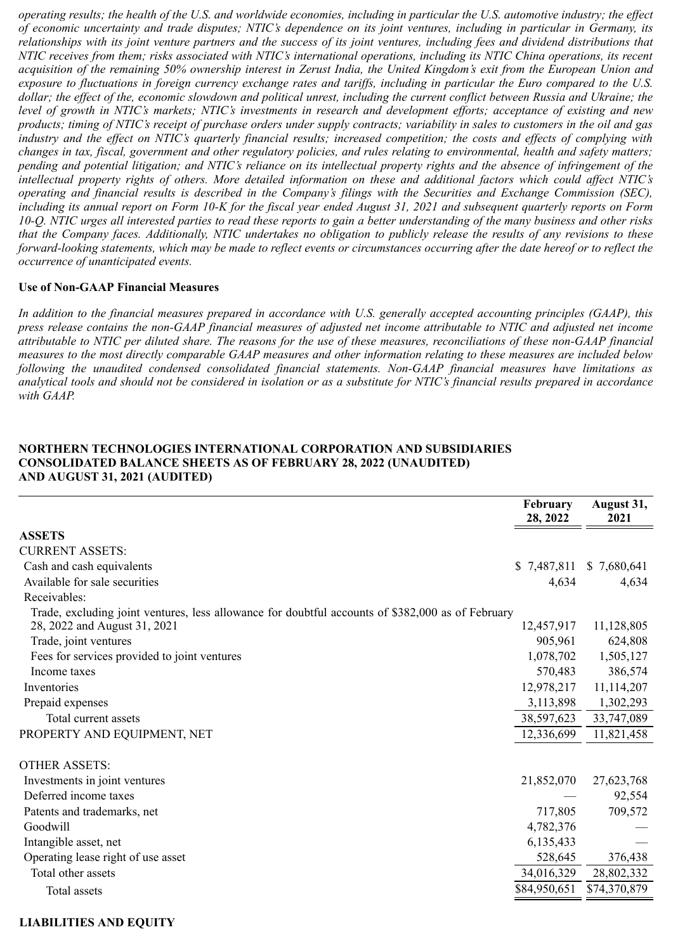*operating results; the health of the U.S. and worldwide economies, including in particular the U.S. automotive industry; the effect of economic uncertainty and trade disputes; NTIC's dependence on its joint ventures, including in particular in Germany, its relationships with its joint venture partners and the success of its joint ventures, including fees and dividend distributions that NTIC receives from them; risks associated with NTIC's international operations, including its NTIC China operations, its recent acquisition of the remaining 50% ownership interest in Zerust India, the United Kingdom's exit from the European Union and exposure to fluctuations in foreign currency exchange rates and tariffs, including in particular the Euro compared to the U.S. dollar; the effect of the, economic slowdown and political unrest, including the current conflict between Russia and Ukraine; the level of growth in NTIC's markets; NTIC's investments in research and development efforts; acceptance of existing and new products; timing of NTIC's receipt of purchase orders under supply contracts; variability in sales to customers in the oil and gas industry and the effect on NTIC's quarterly financial results; increased competition; the costs and effects of complying with changes in tax, fiscal, government and other regulatory policies, and rules relating to environmental, health and safety matters; pending and potential litigation; and NTIC's reliance on its intellectual property rights and the absence of infringement of the intellectual property rights of others. More detailed information on these and additional factors which could affect NTIC's operating and financial results is described in the Company's filings with the Securities and Exchange Commission (SEC), including its annual report on Form 10-K for the fiscal year ended August 31, 2021 and subsequent quarterly reports on Form 10-Q. NTIC urges all interested parties to read these reports to gain a better understanding of the many business and other risks that the Company faces. Additionally, NTIC undertakes no obligation to publicly release the results of any revisions to these forward-looking statements, which may be made to reflect events or circumstances occurring after the date hereof or to reflect the occurrence of unanticipated events.*

### **Use of Non-GAAP Financial Measures**

*In addition to the financial measures prepared in accordance with U.S. generally accepted accounting principles (GAAP), this press release contains the non-GAAP financial measures of adjusted net income attributable to NTIC and adjusted net income attributable to NTIC per diluted share. The reasons for the use of these measures, reconciliations of these non-GAAP financial measures to the most directly comparable GAAP measures and other information relating to these measures are included below following the unaudited condensed consolidated financial statements. Non-GAAP financial measures have limitations as analytical tools and should not be considered in isolation or as a substitute for NTIC's financial results prepared in accordance with GAAP.*

#### **NORTHERN TECHNOLOGIES INTERNATIONAL CORPORATION AND SUBSIDIARIES CONSOLIDATED BALANCE SHEETS AS OF FEBRUARY 28, 2022 (UNAUDITED) AND AUGUST 31, 2021 (AUDITED)**

|                                                                                                   | February<br>28, 2022 | August 31,<br>2021 |
|---------------------------------------------------------------------------------------------------|----------------------|--------------------|
| <b>ASSETS</b>                                                                                     |                      |                    |
| <b>CURRENT ASSETS:</b>                                                                            |                      |                    |
| Cash and cash equivalents                                                                         | \$7,487,811          | \$7,680,641        |
| Available for sale securities                                                                     | 4,634                | 4,634              |
| Receivables:                                                                                      |                      |                    |
| Trade, excluding joint ventures, less allowance for doubtful accounts of \$382,000 as of February |                      |                    |
| 28, 2022 and August 31, 2021                                                                      | 12,457,917           | 11,128,805         |
| Trade, joint ventures                                                                             | 905,961              | 624,808            |
| Fees for services provided to joint ventures                                                      | 1,078,702            | 1,505,127          |
| Income taxes                                                                                      | 570,483              | 386,574            |
| Inventories                                                                                       | 12,978,217           | 11,114,207         |
| Prepaid expenses                                                                                  | 3,113,898            | 1,302,293          |
| Total current assets                                                                              | 38,597,623           | 33,747,089         |
| PROPERTY AND EQUIPMENT, NET                                                                       | 12,336,699           | 11,821,458         |
| <b>OTHER ASSETS:</b>                                                                              |                      |                    |
| Investments in joint ventures                                                                     | 21,852,070           | 27,623,768         |
| Deferred income taxes                                                                             |                      | 92,554             |
| Patents and trademarks, net                                                                       | 717,805              | 709,572            |
| Goodwill                                                                                          | 4,782,376            |                    |
| Intangible asset, net                                                                             | 6,135,433            |                    |
| Operating lease right of use asset                                                                | 528,645              | 376,438            |
| Total other assets                                                                                | 34,016,329           | 28,802,332         |
| Total assets                                                                                      | \$84,950,651         | \$74,370,879       |

### **LIABILITIES AND EQUITY**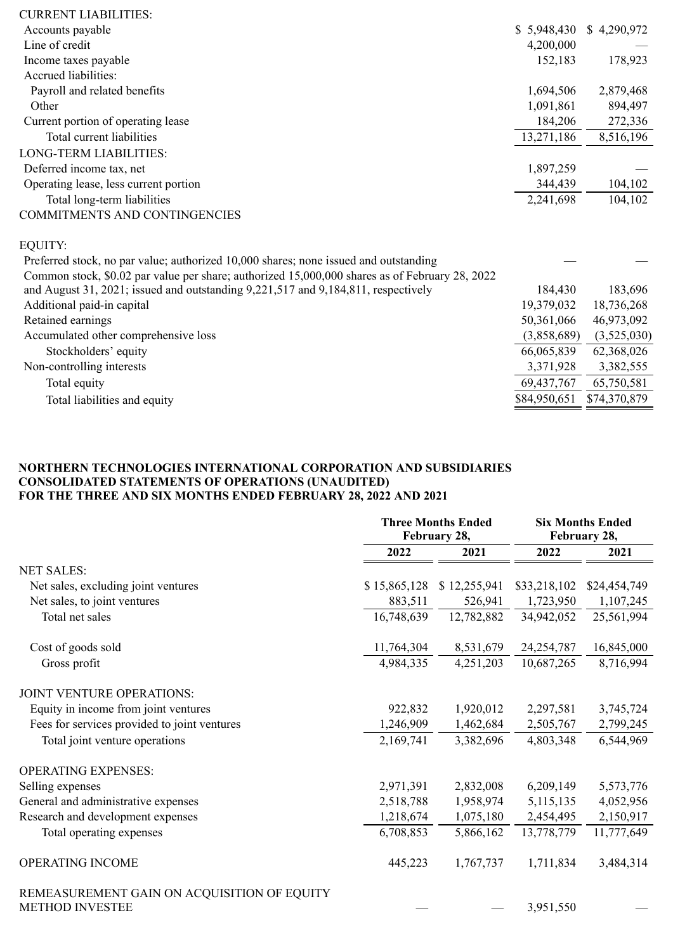| <b>CURRENT LIABILITIES:</b>                                                                    |              |              |
|------------------------------------------------------------------------------------------------|--------------|--------------|
| Accounts payable                                                                               | \$5,948,430  | \$4,290,972  |
| Line of credit                                                                                 | 4,200,000    |              |
| Income taxes payable                                                                           | 152,183      | 178,923      |
| Accrued liabilities:                                                                           |              |              |
| Payroll and related benefits                                                                   | 1,694,506    | 2,879,468    |
| Other                                                                                          | 1,091,861    | 894,497      |
| Current portion of operating lease                                                             | 184,206      | 272,336      |
| Total current liabilities                                                                      | 13,271,186   | 8,516,196    |
| <b>LONG-TERM LIABILITIES:</b>                                                                  |              |              |
| Deferred income tax, net                                                                       | 1,897,259    |              |
| Operating lease, less current portion                                                          | 344,439      | 104,102      |
| Total long-term liabilities                                                                    | 2,241,698    | 104,102      |
| COMMITMENTS AND CONTINGENCIES                                                                  |              |              |
| <b>EQUITY:</b>                                                                                 |              |              |
| Preferred stock, no par value; authorized 10,000 shares; none issued and outstanding           |              |              |
| Common stock, \$0.02 par value per share; authorized 15,000,000 shares as of February 28, 2022 |              |              |
| and August 31, 2021; issued and outstanding 9,221,517 and 9,184,811, respectively              | 184,430      | 183,696      |
| Additional paid-in capital                                                                     | 19,379,032   | 18,736,268   |
| Retained earnings                                                                              | 50,361,066   | 46,973,092   |
| Accumulated other comprehensive loss                                                           | (3,858,689)  | (3,525,030)  |
| Stockholders' equity                                                                           | 66,065,839   | 62,368,026   |
| Non-controlling interests                                                                      | 3,371,928    | 3,382,555    |
| Total equity                                                                                   | 69,437,767   | 65,750,581   |
| Total liabilities and equity                                                                   | \$84,950,651 | \$74,370,879 |
|                                                                                                |              |              |

## **NORTHERN TECHNOLOGIES INTERNATIONAL CORPORATION AND SUBSIDIARIES CONSOLIDATED STATEMENTS OF OPERATIONS (UNAUDITED) FOR THE THREE AND SIX MONTHS ENDED FEBRUARY 28, 2022 AND 2021**

|                                                                       |              | <b>Three Months Ended</b> | <b>Six Months Ended</b> |              |  |  |  |
|-----------------------------------------------------------------------|--------------|---------------------------|-------------------------|--------------|--|--|--|
|                                                                       |              | February 28,              | February 28,            |              |  |  |  |
|                                                                       | 2022         | 2021                      | 2022                    | 2021         |  |  |  |
| <b>NET SALES:</b>                                                     |              |                           |                         |              |  |  |  |
| Net sales, excluding joint ventures                                   | \$15,865,128 | \$12,255,941              | \$33,218,102            | \$24,454,749 |  |  |  |
| Net sales, to joint ventures                                          | 883,511      | 526,941                   | 1,723,950               | 1,107,245    |  |  |  |
| Total net sales                                                       | 16,748,639   | 12,782,882                | 34,942,052              | 25,561,994   |  |  |  |
| Cost of goods sold                                                    | 11,764,304   | 8,531,679                 | 24, 254, 787            | 16,845,000   |  |  |  |
| Gross profit                                                          | 4,984,335    | 4,251,203                 | 10,687,265              | 8,716,994    |  |  |  |
| JOINT VENTURE OPERATIONS:                                             |              |                           |                         |              |  |  |  |
| Equity in income from joint ventures                                  | 922,832      | 1,920,012                 | 2,297,581               | 3,745,724    |  |  |  |
| Fees for services provided to joint ventures                          | 1,246,909    | 1,462,684                 | 2,505,767               | 2,799,245    |  |  |  |
| Total joint venture operations                                        | 2,169,741    | 3,382,696                 | 4,803,348               | 6,544,969    |  |  |  |
| <b>OPERATING EXPENSES:</b>                                            |              |                           |                         |              |  |  |  |
| Selling expenses                                                      | 2,971,391    | 2,832,008                 | 6,209,149               | 5,573,776    |  |  |  |
| General and administrative expenses                                   | 2,518,788    | 1,958,974                 | 5, 115, 135             | 4,052,956    |  |  |  |
| Research and development expenses                                     | 1,218,674    | 1,075,180                 | 2,454,495               | 2,150,917    |  |  |  |
| Total operating expenses                                              | 6,708,853    | 5,866,162                 | 13,778,779              | 11,777,649   |  |  |  |
| OPERATING INCOME                                                      | 445,223      | 1,767,737                 | 1,711,834               | 3,484,314    |  |  |  |
| REMEASUREMENT GAIN ON ACQUISITION OF EQUITY<br><b>METHOD INVESTEE</b> |              |                           | 3,951,550               |              |  |  |  |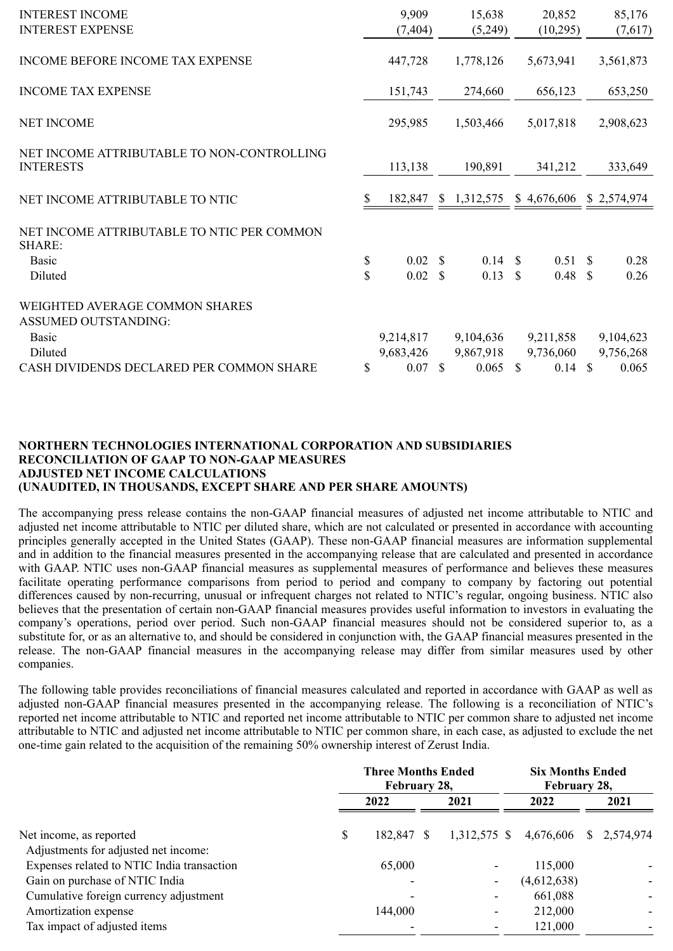| <b>INTEREST INCOME</b><br><b>INTEREST EXPENSE</b>              |          | 9,909<br>(7, 404)      |    | 15,638<br>(5,249)      |                     | 20,852<br>(10, 295)    |               | 85,176<br>(7,617)      |
|----------------------------------------------------------------|----------|------------------------|----|------------------------|---------------------|------------------------|---------------|------------------------|
| INCOME BEFORE INCOME TAX EXPENSE                               |          | 447,728                |    | 1,778,126              |                     | 5,673,941              |               | 3,561,873              |
| <b>INCOME TAX EXPENSE</b>                                      |          | 151,743                |    | 274,660                |                     | 656,123                |               | 653,250                |
| <b>NET INCOME</b>                                              |          | 295,985                |    | 1,503,466              |                     | 5,017,818              |               | 2,908,623              |
| NET INCOME ATTRIBUTABLE TO NON-CONTROLLING<br><b>INTERESTS</b> |          | 113,138                |    | 190,891                |                     | 341,212                |               | 333,649                |
| NET INCOME ATTRIBUTABLE TO NTIC                                | S        | 182,847                |    | \$1,312,575            |                     | \$4,676,606            |               | \$2,574,974            |
| NET INCOME ATTRIBUTABLE TO NTIC PER COMMON<br><b>SHARE:</b>    |          |                        |    |                        |                     |                        |               |                        |
| <b>Basic</b><br>Diluted                                        | \$<br>\$ | 0.02 S<br>0.02         | S  | 0.14<br>0.13           | <sup>S</sup><br>\$. | 0.51 S<br>0.48         | <sup>\$</sup> | 0.28<br>0.26           |
| WEIGHTED AVERAGE COMMON SHARES<br><b>ASSUMED OUTSTANDING:</b>  |          |                        |    |                        |                     |                        |               |                        |
| <b>Basic</b><br>Diluted                                        |          | 9,214,817<br>9,683,426 |    | 9,104,636<br>9,867,918 |                     | 9,211,858<br>9,736,060 |               | 9,104,623<br>9,756,268 |
| CASH DIVIDENDS DECLARED PER COMMON SHARE                       | \$       | 0.07                   | -S | $0.065$ \$             |                     | 0.14                   | <sup>\$</sup> | 0.065                  |

### **NORTHERN TECHNOLOGIES INTERNATIONAL CORPORATION AND SUBSIDIARIES RECONCILIATION OF GAAP TO NON-GAAP MEASURES ADJUSTED NET INCOME CALCULATIONS (UNAUDITED, IN THOUSANDS, EXCEPT SHARE AND PER SHARE AMOUNTS)**

The accompanying press release contains the non-GAAP financial measures of adjusted net income attributable to NTIC and adjusted net income attributable to NTIC per diluted share, which are not calculated or presented in accordance with accounting principles generally accepted in the United States (GAAP). These non-GAAP financial measures are information supplemental and in addition to the financial measures presented in the accompanying release that are calculated and presented in accordance with GAAP. NTIC uses non-GAAP financial measures as supplemental measures of performance and believes these measures facilitate operating performance comparisons from period to period and company to company by factoring out potential differences caused by non-recurring, unusual or infrequent charges not related to NTIC's regular, ongoing business. NTIC also believes that the presentation of certain non-GAAP financial measures provides useful information to investors in evaluating the company's operations, period over period. Such non-GAAP financial measures should not be considered superior to, as a substitute for, or as an alternative to, and should be considered in conjunction with, the GAAP financial measures presented in the release. The non-GAAP financial measures in the accompanying release may differ from similar measures used by other companies.

The following table provides reconciliations of financial measures calculated and reported in accordance with GAAP as well as adjusted non-GAAP financial measures presented in the accompanying release. The following is a reconciliation of NTIC's reported net income attributable to NTIC and reported net income attributable to NTIC per common share to adjusted net income attributable to NTIC and adjusted net income attributable to NTIC per common share, in each case, as adjusted to exclude the net one-time gain related to the acquisition of the remaining 50% ownership interest of Zerust India.

|                                            | <b>Three Months Ended</b><br>February 28, |            |  |      |  | <b>Six Months Ended</b><br>February 28, |  |      |
|--------------------------------------------|-------------------------------------------|------------|--|------|--|-----------------------------------------|--|------|
|                                            |                                           | 2022       |  | 2021 |  | 2022                                    |  | 2021 |
| Net income, as reported                    | \$                                        | 182,847 \$ |  |      |  | 1,312,575 \$ 4,676,606 \$ 2,574,974     |  |      |
| Adjustments for adjusted net income:       |                                           |            |  |      |  |                                         |  |      |
| Expenses related to NTIC India transaction |                                           | 65,000     |  |      |  | 115,000                                 |  |      |
| Gain on purchase of NTIC India             |                                           |            |  |      |  | (4,612,638)                             |  |      |
| Cumulative foreign currency adjustment     |                                           | ۰          |  |      |  | 661,088                                 |  |      |
| Amortization expense                       |                                           | 144,000    |  | ۰    |  | 212,000                                 |  |      |
| Tax impact of adjusted items               |                                           |            |  |      |  | 121,000                                 |  |      |